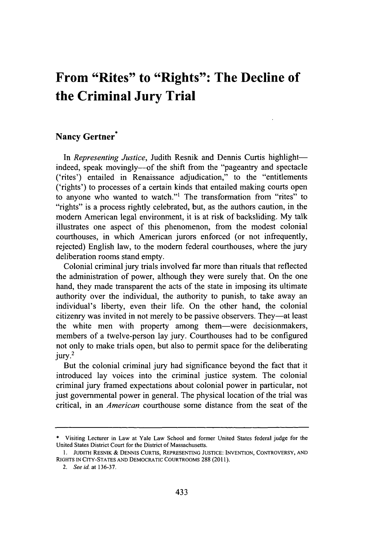## **From "Rites" to "Rights": The Decline of the Criminal Jury Trial**

## **Nancy Gertner\***

In *Representing Justice*, Judith Resnik and Dennis Curtis highlightindeed, speak movingly--of the shift from the "pageantry and spectacle ('rites') entailed in Renaissance adjudication," to the "entitlements ('rights') to processes of a certain kinds that entailed making courts open to anyone who wanted to watch."' The transformation from "rites" to "rights" is a process rightly celebrated, but, as the authors caution, in the modem American legal environment, it is at risk of backsliding. **My** talk illustrates one aspect of this phenomenon, from the modest colonial courthouses, in which American jurors enforced (or not infrequently, rejected) English law, to the modern federal courthouses, where the jury deliberation rooms stand empty.

Colonial criminal jury trials involved far more than rituals that reflected the administration of power, although they were surely that. On the one hand, they made transparent the acts of the state in imposing its ultimate authority over the individual, the authority to punish, to take away an individual's liberty, even their life. On the other hand, the colonial citizenry was invited in not merely to be passive observers. They-at least the white men with property among them-were decisionmakers, members of a twelve-person lay jury. Courthouses had to be configured not only to make trials open, but also to permit space for the deliberating jury.<sup>2</sup>

But the colonial criminal jury had significance beyond the fact that it introduced lay voices into the criminal justice system. The colonial criminal jury framed expectations about colonial power in particular, not just governmental power in general. The physical location of the trial was critical, in an *American* courthouse some distance from the seat of the

**<sup>\*</sup>** Visiting Lecturer in Law at Yale Law School and former United States federal judge for the United States District Court for the District of Massachusetts.

**<sup>1.</sup> JUDITH** RESNIK **& DENNIS CURTIS, REPRESENTING JUSTICE: INVENTION,** CONTROVERSY, **AND** RIGHTS **IN CITY-STATES AND** DEMOCRATIC COURTROOMS **288 (2011).**

<sup>2.</sup> *See id.* at **136-37**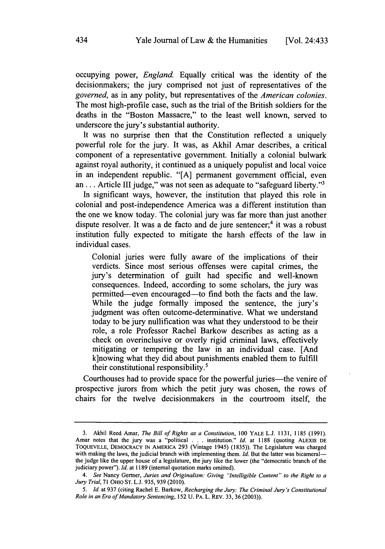occupying power, *England.* Equally critical was the identity of the decisionmakers; the jury comprised not just of representatives of the *governed,* as in any polity, but representatives of the *American colonies.* The most high-profile case, such as the trial of the British soldiers for the deaths in the "Boston Massacre," to the least well known, served to underscore the jury's substantial authority.

It was no surprise then that the Constitution reflected a uniquely powerful role for the jury. It was, as Akhil Amar describes, a critical component of a representative government. Initially a colonial bulwark against royal authority, it continued as a uniquely populist and local voice in an independent republic. **"[A]** permanent government official, even **an. . .** Article **III** judge," was not seen as adequate to "safeguard liberty."'

In significant ways, however, the institution that played this role in colonial and post-independence America was a different institution than the one we know today. The colonial jury was far more than just another dispute resolver. It was a de facto and de jure sentencer;<sup>4</sup> it was a robust institution fully expected to mitigate the harsh effects of the law in individual cases.

Colonial juries were fully aware of the implications of their verdicts. Since most serious offenses were capital crimes, the jury's determination of guilt had specific and well-known consequences. Indeed, according to some scholars, the jury was permitted-even encouraged-to find both the facts and the law. While the judge formally imposed the sentence, the jury's judgment was often outcome-determinative. What we understand today to be jury nullification was what they understood to be their role, a role Professor Rachel Barkow describes as acting as a check on overinclusive or overly rigid criminal laws, effectively mitigating or tempering the law in an individual case. [And k]nowing what they did about punishments enabled them to **fulfill** their constitutional responsibility.'

Courthouses had to provide space for the powerful juries—the venire of prospective jurors from which the petit jury was chosen, the rows of chairs for the twelve decisionmakers in the courtroom itself, the

**<sup>3.</sup>** Akhil Reed Amar, *The Bill of Rights as a Constitution, 100* **YALE L.J. 1131, 1185 (1991).** Amar notes that the jury was a "political **.** . **.** institution." *Id.* at **1188** (quoting **ALEXIS DE TOQUEVILLE, DEMOCRACY IN** AMERICA **293** (Vintage 1945) *(1835)).* The Legislature was charged with making the laws, the judicial branch with implementing them. *Id*. But the latter was bicameralthe judge like the upper house of a legislature, the jury like the lower (the "democratic branch of the judiciary power"). *Id.* at **1189** (internal quotation marks omitted).

*<sup>4.</sup> See* Nancy Gertner, *Juries and Originalism: Giving "Intelligible Content" to the Right to a Jury Trial,* **71** OHIO **ST. L.J. 935, 939 (2010).**

*<sup>5.</sup> Id.* at **937** (citing Rachel **E.** Barkow, *Recharging the Jury: The Criminal Jury's Constitutional Role in an Era of Mandatory Sentencing,* **152 U.** PA. L. REv. **33, 36 (2003)).**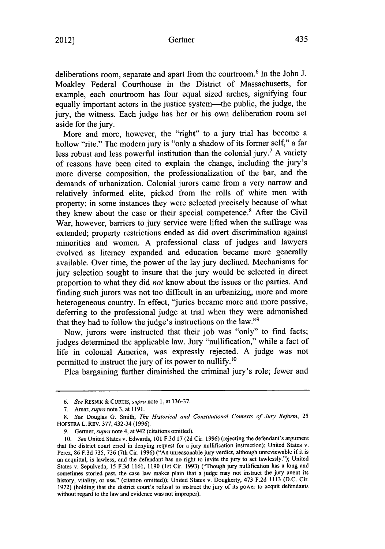deliberations room, separate and apart from the courtroom.6 In the John **J.** Moakley Federal Courthouse in the District of Massachusetts, for example, each courtroom has four equal sized arches, signifying four equally important actors in the justice system-the public, the judge, the jury, the witness. Each judge has her or his own deliberation room set aside for the jury.

More and more, however, the "right" to a jury trial has become a hollow "rite." The modern jury is "only a shadow of its former self," a far less robust and less powerful institution than the colonial jury.7 **A** variety of reasons have been cited to explain the change, including the jury's more diverse composition, the professionalization of the bar, and the demands of urbanization. Colonial jurors came from a very narrow and relatively informed elite, picked from the rolls of white men with property; in some instances they were selected precisely because of what they knew about the case or their special competence.<sup>8</sup> After the Civil War, however, barriers to jury service were lifted when the suffrage was extended; property restrictions ended as did overt discrimination against minorities and women. **A** professional class of judges and lawyers evolved as literacy expanded and education became more generally available. Over time, the power of the lay jury declined. Mechanisms for jury selection sought to insure that the jury would be selected in direct proportion to what they did *not* know about the issues or the parties. And finding such jurors was not too difficult in an urbanizing, more and more heterogeneous country. In effect, "juries became more and more passive, deferring to the professional judge at trial when they were admonished that they had to follow the judge's instructions on the law."<sup>9</sup>

Now, jurors were instructed that their **job** was "only" to find facts; judges determined the applicable law. Jury "nullification," while a fact of life in colonial America, was expressly rejected. **A** judge was not permitted to instruct the jury of its power to nullify.<sup>10</sup>

Plea bargaining further diminished the criminal jury's role; fewer and

*<sup>6.</sup> See* **RESNIK** *&* **CURTIS,** *supra note* **1,** at **136-37.**

**<sup>7.</sup>** *Amar, supra note 3, at* **1191.**

*<sup>8.</sup> See* Douglas **G.** Smith, *The Historical and Constitutional Contexts of Jury Reform, <sup>25</sup>* HOFSTRA L. REV. **377, 432-34 (1996).**

*<sup>9.</sup>* Gertner, *supra* note 4, at 942 (citations omitted).

*<sup>10.</sup> See* United States v. Edwards, **101 F.3d 17 (2d** Cir. **1996)** (rejecting the defendant's argument that the district court erred in denying request for a jury nullification instruction); United States v. Perez, **86 F.3d** *735,* **736** (7th Cir. **1996)** ("An unreasonable jury verdict, although unreviewable if it is an acquittal, is lawless, and the defendant has no right to invite the jury to act lawlessly."); United States v. Sepulveda, **15 F.3d 1161, 1190 (1st** Cir. **1993)** ("Though jury nullification has a long and sometimes storied past, the case law makes plain that a judge may not instruct the jury anent its history, vitality, or use." (citation omitted)); United States v. Dougherty, 473 **F.2d 1113 (D.C.** Cir. **1972)** (holding that the district court's refusal to instruct the jury of its power to acquit defendants without regard to the law and evidence was not improper).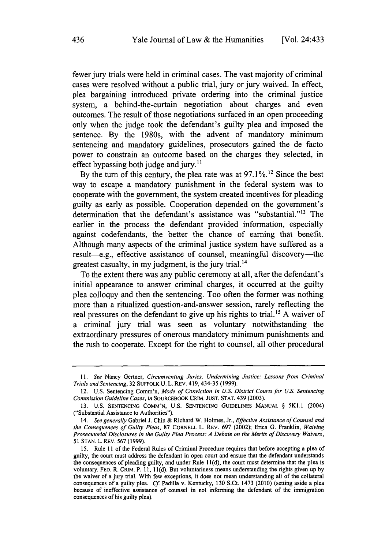fewer jury trials were held in criminal cases. The vast majority of criminal cases were resolved without a public trial, jury or jury waived. In effect, plea bargaining introduced private ordering into the criminal justice system, a behind-the-curtain negotiation about charges and even outcomes. The result of those negotiations surfaced in an open proceeding only when the judge took the defendant's guilty plea and imposed the sentence. **By** the 1980s, with the advent of mandatory minimum sentencing and mandatory guidelines, prosecutors gained the de facto power to constrain an outcome based on the charges they selected, in effect bypassing both judge and jury. $^{11}$ 

**By** the turn of this century, the plea rate was at **97.1%.12** Since the best way to escape a mandatory punishment in the federal system was to cooperate with the government, the system created incentives for pleading guilty as early as possible. Cooperation depended on the government's determination that the defendant's assistance was "substantial."<sup>13</sup> The earlier in the process the defendant provided information, especially against codefendants, the better the chance of earning that benefit. Although many aspects of the criminal justice system have suffered as a result-e.g., effective assistance of counsel, meaningful discovery-the greatest casualty, in my judgment, is the jury trial.<sup>14</sup>

To the extent there was any public ceremony at all, after the defendant's initial appearance to answer criminal charges, it occurred at the guilty plea colloquy and then the sentencing. Too often the former was nothing more than a ritualized question-and-answer session, rarely reflecting the real pressures on the defendant to give up his rights to trial.15 **A** waiver of a criminal jury trial was seen as voluntary notwithstanding the extraordinary pressures of onerous mandatory minimum punishments and the rush to cooperate. Except for the right to counsel, all other procedural

*<sup>11.</sup>* See Nancy Gertner, Circumventing Juries, *Undermining* Justice: Lessons from Criminal Trials and Sentencing, **32 SUFFOLK U.** L. REv. 419, *434-35* **(1999).**

<sup>12.</sup> **U.S.** Sentencing Comm'n, Mode of Conviction *in U.S.* District Courts for **U.S.** Sentencing Commission Guideline Cases, in SOURCEBOOK CRIM. **JUST. STAT.** 439 **(2003).**

**<sup>13.</sup> U.S. SENTENCING COMM'N, U.S. SENTENCING GUIDELINES MANUAL §** 5Kl.1 (2004) ("Substantial Assistance to Authorities").

*<sup>14.</sup> See generally* Gabriel **J.** Chin **&** Richard W. Holmes, Jr., Effective Assistance *of Counsel and the Consequences of Guilty Pleas,* **87** CORNELL L. REv. **697** (2002); Erica **G.** Franklin, *Waiving Prosecutorial Disclosures in the Guilty Plea Process: A Debate on the Merits of Discovery Waivers,* **51 STAN.** L. REv. **567 (1999).**

**<sup>15.</sup>** Rule 11 *of* the Federal Rules of Criminal Procedure requires that before accepting a plea of guilty, the court must address the defendant in open court and ensure that the defendant understands the consequences of pleading guilty, and under Rule **11(d),** the court must determine that the plea is voluntary. **FED.** R. CRIM. P. **11, 11 (d).** But voluntariness means understanding the rights given up **by** the waiver of a jury trial. With few exceptions, it does not mean understanding all of the collateral consequences of a guilty plea. *Cf* Padilla v. Kentucky, **130** S.Ct. 1473 (2010) (setting aside a plea because of ineffective assistance of counsel in not informing the defendant of the immigration consequences of his guilty plea).